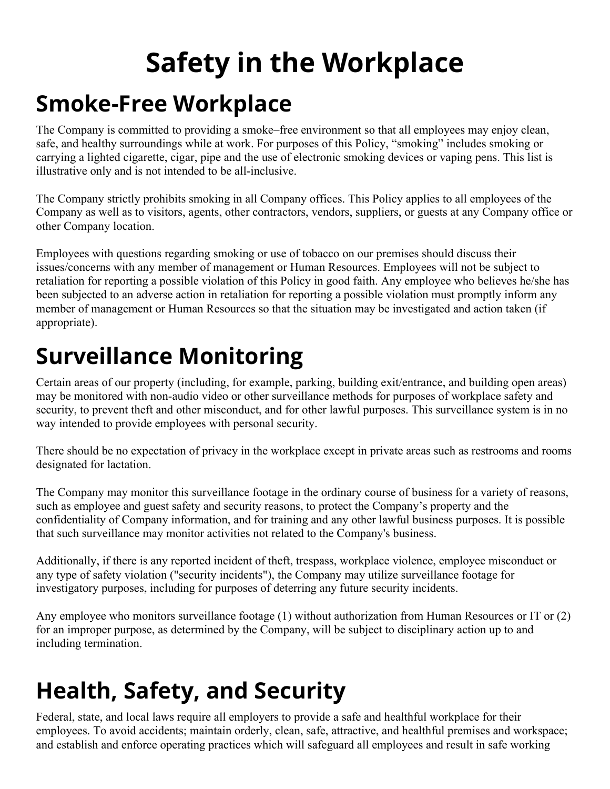# **Safety in the Workplace Smoke-Free Workplace**

The Company is committed to providing a smoke–free environment so that all employees may enjoy clean, safe, and healthy surroundings while at work. For purposes of this Policy, "smoking" includes smoking or carrying a lighted cigarette, cigar, pipe and the use of electronic smoking devices or vaping pens. This list is illustrative only and is not intended to be all-inclusive.

The Company strictly prohibits smoking in all Company offices. This Policy applies to all employees of the Company as well as to visitors, agents, other contractors, vendors, suppliers, or guests at any Company office or other Company location.

Employees with questions regarding smoking or use of tobacco on our premises should discuss their issues/concerns with any member of management or Human Resources. Employees will not be subject to retaliation for reporting a possible violation of this Policy in good faith. Any employee who believes he/she has been subjected to an adverse action in retaliation for reporting a possible violation must promptly inform any member of management or Human Resources so that the situation may be investigated and action taken (if appropriate).

### **Surveillance Monitoring**

Certain areas of our property (including, for example, parking, building exit/entrance, and building open areas) may be monitored with non-audio video or other surveillance methods for purposes of workplace safety and security, to prevent theft and other misconduct, and for other lawful purposes. This surveillance system is in no way intended to provide employees with personal security.

There should be no expectation of privacy in the workplace except in private areas such as restrooms and rooms designated for lactation.

The Company may monitor this surveillance footage in the ordinary course of business for a variety of reasons, such as employee and guest safety and security reasons, to protect the Company's property and the confidentiality of Company information, and for training and any other lawful business purposes. It is possible that such surveillance may monitor activities not related to the Company's business.

Additionally, if there is any reported incident of theft, trespass, workplace violence, employee misconduct or any type of safety violation ("security incidents"), the Company may utilize surveillance footage for investigatory purposes, including for purposes of deterring any future security incidents.

Any employee who monitors surveillance footage (1) without authorization from Human Resources or IT or (2) for an improper purpose, as determined by the Company, will be subject to disciplinary action up to and including termination.

# **Health, Safety, and Security**

Federal, state, and local laws require all employers to provide a safe and healthful workplace for their employees. To avoid accidents; maintain orderly, clean, safe, attractive, and healthful premises and workspace; and establish and enforce operating practices which will safeguard all employees and result in safe working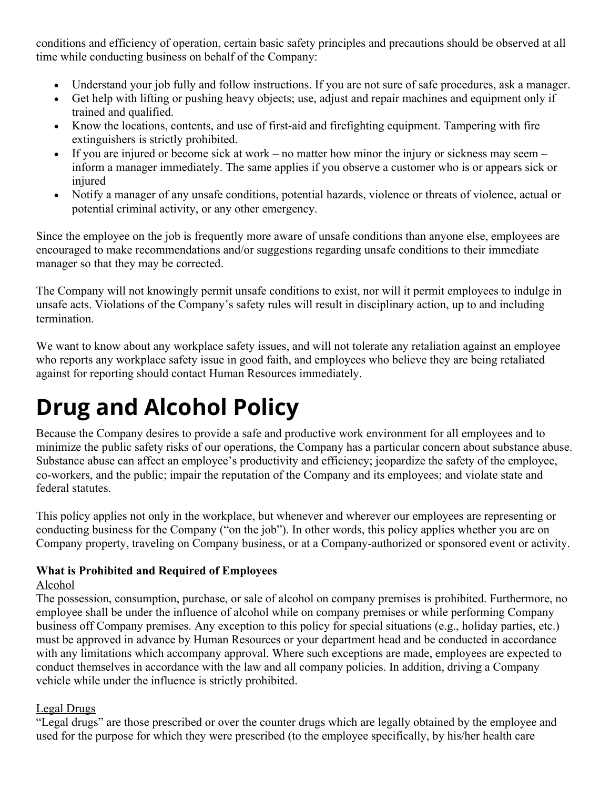conditions and efficiency of operation, certain basic safety principles and precautions should be observed at all time while conducting business on behalf of the Company:

- Understand your job fully and follow instructions. If you are not sure of safe procedures, ask a manager.
- Get help with lifting or pushing heavy objects; use, adjust and repair machines and equipment only if trained and qualified.
- Know the locations, contents, and use of first-aid and firefighting equipment. Tampering with fire extinguishers is strictly prohibited.
- If you are injured or become sick at work no matter how minor the injury or sickness may seem inform a manager immediately. The same applies if you observe a customer who is or appears sick or injured
- Notify a manager of any unsafe conditions, potential hazards, violence or threats of violence, actual or potential criminal activity, or any other emergency.

Since the employee on the job is frequently more aware of unsafe conditions than anyone else, employees are encouraged to make recommendations and/or suggestions regarding unsafe conditions to their immediate manager so that they may be corrected.

The Company will not knowingly permit unsafe conditions to exist, nor will it permit employees to indulge in unsafe acts. Violations of the Company's safety rules will result in disciplinary action, up to and including termination.

We want to know about any workplace safety issues, and will not tolerate any retaliation against an employee who reports any workplace safety issue in good faith, and employees who believe they are being retaliated against for reporting should contact Human Resources immediately.

## **Drug and Alcohol Policy**

Because the Company desires to provide a safe and productive work environment for all employees and to minimize the public safety risks of our operations, the Company has a particular concern about substance abuse. Substance abuse can affect an employee's productivity and efficiency; jeopardize the safety of the employee, co-workers, and the public; impair the reputation of the Company and its employees; and violate state and federal statutes.

This policy applies not only in the workplace, but whenever and wherever our employees are representing or conducting business for the Company ("on the job"). In other words, this policy applies whether you are on Company property, traveling on Company business, or at a Company-authorized or sponsored event or activity.

#### **What is Prohibited and Required of Employees**

#### Alcohol

The possession, consumption, purchase, or sale of alcohol on company premises is prohibited. Furthermore, no employee shall be under the influence of alcohol while on company premises or while performing Company business off Company premises. Any exception to this policy for special situations (e.g., holiday parties, etc.) must be approved in advance by Human Resources or your department head and be conducted in accordance with any limitations which accompany approval. Where such exceptions are made, employees are expected to conduct themselves in accordance with the law and all company policies. In addition, driving a Company vehicle while under the influence is strictly prohibited.

#### Legal Drugs

"Legal drugs" are those prescribed or over the counter drugs which are legally obtained by the employee and used for the purpose for which they were prescribed (to the employee specifically, by his/her health care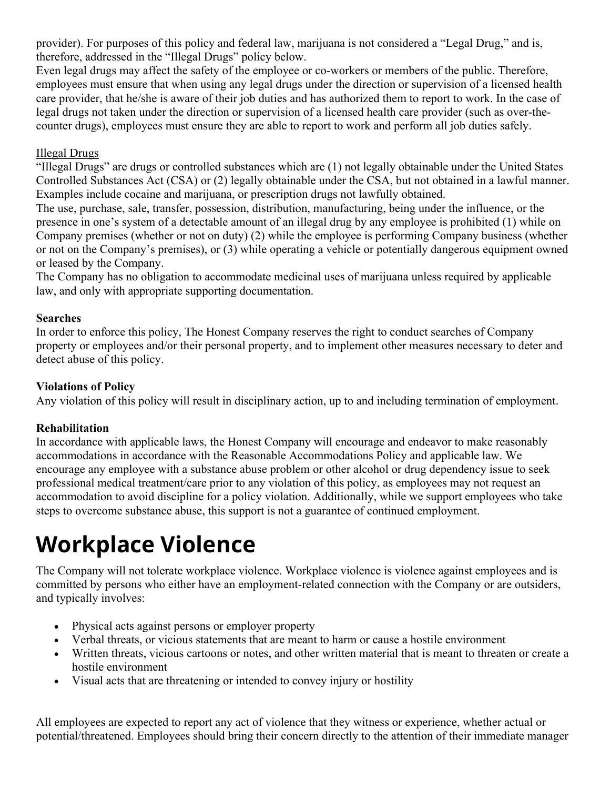provider). For purposes of this policy and federal law, marijuana is not considered a "Legal Drug," and is, therefore, addressed in the "Illegal Drugs" policy below.

Even legal drugs may affect the safety of the employee or co-workers or members of the public. Therefore, employees must ensure that when using any legal drugs under the direction or supervision of a licensed health care provider, that he/she is aware of their job duties and has authorized them to report to work. In the case of legal drugs not taken under the direction or supervision of a licensed health care provider (such as over-thecounter drugs), employees must ensure they are able to report to work and perform all job duties safely.

#### Illegal Drugs

"Illegal Drugs" are drugs or controlled substances which are (1) not legally obtainable under the United States Controlled Substances Act (CSA) or (2) legally obtainable under the CSA, but not obtained in a lawful manner. Examples include cocaine and marijuana, or prescription drugs not lawfully obtained.

The use, purchase, sale, transfer, possession, distribution, manufacturing, being under the influence, or the presence in one's system of a detectable amount of an illegal drug by any employee is prohibited (1) while on Company premises (whether or not on duty) (2) while the employee is performing Company business (whether or not on the Company's premises), or (3) while operating a vehicle or potentially dangerous equipment owned or leased by the Company.

The Company has no obligation to accommodate medicinal uses of marijuana unless required by applicable law, and only with appropriate supporting documentation.

#### **Searches**

In order to enforce this policy, The Honest Company reserves the right to conduct searches of Company property or employees and/or their personal property, and to implement other measures necessary to deter and detect abuse of this policy.

#### **Violations of Policy**

Any violation of this policy will result in disciplinary action, up to and including termination of employment.

#### **Rehabilitation**

In accordance with applicable laws, the Honest Company will encourage and endeavor to make reasonably accommodations in accordance with the Reasonable Accommodations Policy and applicable law. We encourage any employee with a substance abuse problem or other alcohol or drug dependency issue to seek professional medical treatment/care prior to any violation of this policy, as employees may not request an accommodation to avoid discipline for a policy violation. Additionally, while we support employees who take steps to overcome substance abuse, this support is not a guarantee of continued employment.

### **Workplace Violence**

The Company will not tolerate workplace violence. Workplace violence is violence against employees and is committed by persons who either have an employment-related connection with the Company or are outsiders, and typically involves:

- Physical acts against persons or employer property
- Verbal threats, or vicious statements that are meant to harm or cause a hostile environment
- Written threats, vicious cartoons or notes, and other written material that is meant to threaten or create a hostile environment
- Visual acts that are threatening or intended to convey injury or hostility

All employees are expected to report any act of violence that they witness or experience, whether actual or potential/threatened. Employees should bring their concern directly to the attention of their immediate manager